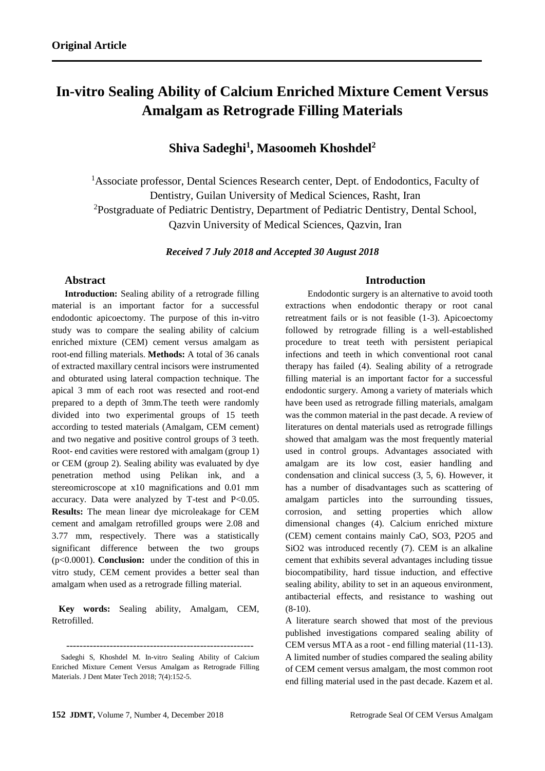# **In-vitro Sealing Ability of Calcium Enriched Mixture Cement Versus Amalgam as Retrograde Filling Materials**

## **Shiva Sadeghi<sup>1</sup> , Masoomeh Khoshdel<sup>2</sup>**

<sup>1</sup>Associate professor, Dental Sciences Research center, Dept. of Endodontics, Faculty of Dentistry, Guilan University of Medical Sciences, Rasht, Iran <sup>2</sup>Postgraduate of Pediatric Dentistry, Department of Pediatric Dentistry, Dental School, Qazvin University of Medical Sciences, Qazvin, Iran

*Received 7 July 2018 and Accepted 30 August 2018*

#### **Abstract**

**Introduction:** Sealing ability of a retrograde filling material is an important factor for a successful endodontic apicoectomy. The purpose of this in-vitro study was to compare the sealing ability of calcium enriched mixture (CEM) cement versus amalgam as root-end filling materials. **Methods:** A total of 36 canals of extracted maxillary central incisors were instrumented and obturated using lateral compaction technique. The apical 3 mm of each root was resected and root-end prepared to a depth of 3mm.The teeth were randomly divided into two experimental groups of 15 teeth according to tested materials (Amalgam, CEM cement) and two negative and positive control groups of 3 teeth. Root- end cavities were restored with amalgam (group 1) or CEM (group 2). Sealing ability was evaluated by dye penetration method using Pelikan ink, and a stereomicroscope at x10 magnifications and 0.01 mm accuracy. Data were analyzed by T-test and P<0.05. **Results:** The mean linear dye microleakage for CEM cement and amalgam retrofilled groups were 2.08 and 3.77 mm, respectively. There was a statistically significant difference between the two groups (p<0.0001). **Conclusion:** under the condition of this in vitro study, CEM cement provides a better seal than amalgam when used as a retrograde filling material.

 **Key words:** Sealing ability, Amalgam, CEM, Retrofilled.

--------------------------------------------------------

#### **Introduction**

 Endodontic surgery is an alternative to avoid tooth extractions when endodontic therapy or root canal retreatment fails or is not feasible (1-3). Apicoectomy followed by retrograde filling is a well-established procedure to treat teeth with persistent periapical infections and teeth in which conventional root canal therapy has failed (4). Sealing ability of a retrograde filling material is an important factor for a successful endodontic surgery. Among a variety of materials which have been used as retrograde filling materials, amalgam was the common material in the past decade. A review of literatures on dental materials used as retrograde fillings showed that amalgam was the most frequently material used in control groups. Advantages associated with amalgam are its low cost, easier handling and condensation and clinical success (3, 5, 6). However, it has a number of disadvantages such as scattering of amalgam particles into the surrounding tissues, corrosion, and setting properties which allow dimensional changes (4). Calcium enriched mixture (CEM) cement contains mainly CaO, SO3, P2O5 and SiO2 was introduced recently (7). CEM is an alkaline cement that exhibits several advantages including tissue biocompatibility, hard tissue induction, and effective sealing ability, ability to set in an aqueous environment, antibacterial effects, and resistance to washing out  $(8-10)$ .

A literature search showed that most of the previous published investigations compared sealing ability of CEM versus MTA as a root - end filling material (11-13). A limited number of studies compared the sealing ability of CEM cement versus amalgam, the most common root end filling material used in the past decade. Kazem et al.

Sadeghi S, Khoshdel M. In-vitro Sealing Ability of Calcium Enriched Mixture Cement Versus Amalgam as Retrograde Filling Materials. J Dent Mater Tech 2018; 7(4):152-5.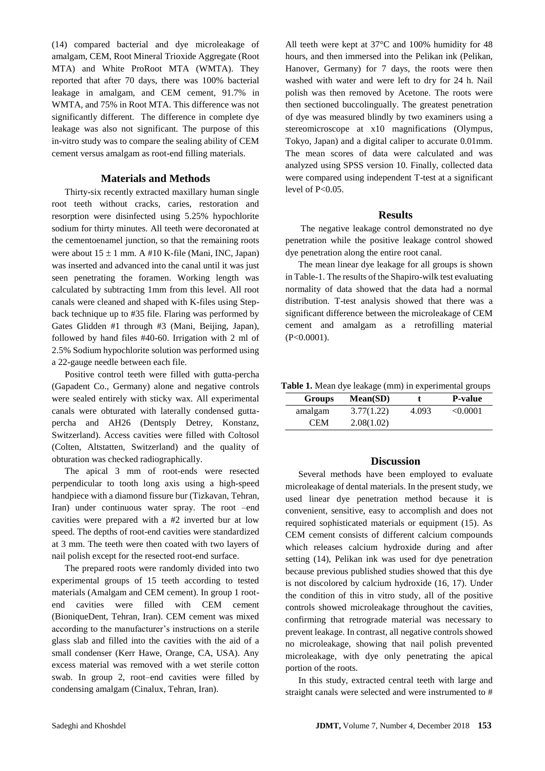(14) compared bacterial and dye microleakage of amalgam, CEM, Root Mineral Trioxide Aggregate (Root MTA) and White ProRoot MTA (WMTA). They reported that after 70 days, there was 100% bacterial leakage in amalgam, and CEM cement, 91.7% in WMTA, and 75% in Root MTA. This difference was not significantly different. The difference in complete dye leakage was also not significant. The purpose of this in-vitro study was to compare the sealing ability of CEM cement versus amalgam as root-end filling materials.

#### **Materials and Methods**

Thirty-six recently extracted maxillary human single root teeth without cracks, caries, restoration and resorption were disinfected using 5.25% hypochlorite sodium for thirty minutes. All teeth were decoronated at the cementoenamel junction, so that the remaining roots were about  $15 \pm 1$  mm. A #10 K-file (Mani, INC, Japan) was inserted and advanced into the canal until it was just seen penetrating the foramen. Working length was calculated by subtracting 1mm from this level. All root canals were cleaned and shaped with K-files using Stepback technique up to #35 file. Flaring was performed by Gates Glidden #1 through #3 (Mani, Beijing, Japan), followed by hand files #40-60. Irrigation with 2 ml of 2.5% Sodium hypochlorite solution was performed using a 22-gauge needle between each file.

Positive control teeth were filled with gutta-percha (Gapadent Co., Germany) alone and negative controls were sealed entirely with sticky wax. All experimental canals were obturated with laterally condensed guttapercha and AH26 (Dentsply Detrey, Konstanz, Switzerland). Access cavities were filled with Coltosol (Colten, Altstatten, Switzerland) and the quality of obturation was checked radiographically.

The apical 3 mm of root-ends were resected perpendicular to tooth long axis using a high-speed handpiece with a diamond fissure bur (Tizkavan, Tehran, Iran) under continuous water spray. The root –end cavities were prepared with a #2 inverted bur at low speed. The depths of root-end cavities were standardized at 3 mm. The teeth were then coated with two layers of nail polish except for the resected root-end surface.

The prepared roots were randomly divided into two experimental groups of 15 teeth according to tested materials (Amalgam and CEM cement). In group 1 rootend cavities were filled with CEM cement (BioniqueDent, Tehran, Iran). CEM cement was mixed according to the manufacturer's instructions on a sterile glass slab and filled into the cavities with the aid of a small condenser (Kerr Hawe, Orange, CA, USA). Any excess material was removed with a wet sterile cotton swab. In group 2, root–end cavities were filled by condensing amalgam (Cinalux, Tehran, Iran).

All teeth were kept at 37°C and 100% humidity for 48 hours, and then immersed into the Pelikan ink (Pelikan, Hanover, Germany) for 7 days, the roots were then washed with water and were left to dry for 24 h. Nail polish was then removed by Acetone. The roots were then sectioned buccolingually. The greatest penetration of dye was measured blindly by two examiners using a stereomicroscope at x10 magnifications (Olympus, Tokyo, Japan) and a digital caliper to accurate 0.01mm. The mean scores of data were calculated and was analyzed using SPSS version 10. Finally, collected data were compared using independent T-test at a significant level of P<0.05.

#### **Results**

The negative leakage control demonstrated no dye penetration while the positive leakage control showed dye penetration along the entire root canal.

The mean linear dye leakage for all groups is shown in Table-1. The results of the Shapiro-wilk test evaluating normality of data showed that the data had a normal distribution. T-test analysis showed that there was a significant difference between the microleakage of CEM cement and amalgam as a retrofilling material (P<0.0001).

**Table 1.** Mean dye leakage (mm) in experimental groups

| Groups     | Mean(SD)   |       | <b>P-value</b> |
|------------|------------|-------|----------------|
| amalgam    | 3.77(1.22) | 4.093 | < 0.0001       |
| <b>CEM</b> | 2.08(1.02) |       |                |

#### **Discussion**

Several methods have been employed to evaluate microleakage of dental materials. In the present study, we used linear dye penetration method because it is convenient, sensitive, easy to accomplish and does not required sophisticated materials or equipment (15). As CEM cement consists of different calcium compounds which releases calcium hydroxide during and after setting (14), Pelikan ink was used for dye penetration because previous published studies showed that this dye is not discolored by calcium hydroxide (16, 17). Under the condition of this in vitro study, all of the positive controls showed microleakage throughout the cavities, confirming that retrograde material was necessary to prevent leakage. In contrast, all negative controls showed no microleakage, showing that nail polish prevented microleakage, with dye only penetrating the apical portion of the roots.

In this study, extracted central teeth with large and straight canals were selected and were instrumented to #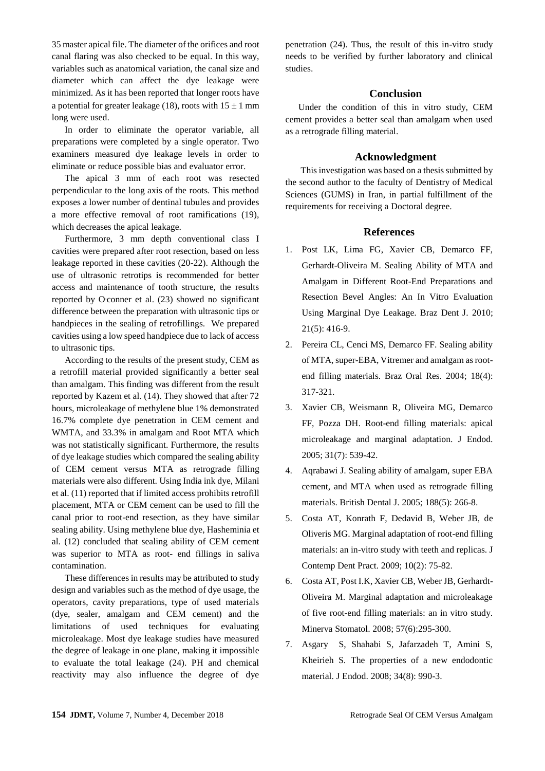35 master apical file. The diameter of the orifices and root canal flaring was also checked to be equal. In this way, variables such as anatomical variation, the canal size and diameter which can affect the dye leakage were minimized. As it has been reported that longer roots have a potential for greater leakage (18), roots with  $15 \pm 1$  mm long were used.

In order to eliminate the operator variable, all preparations were completed by a single operator. Two examiners measured dye leakage levels in order to eliminate or reduce possible bias and evaluator error.

The apical 3 mm of each root was resected perpendicular to the long axis of the roots. This method exposes a lower number of dentinal tubules and provides a more effective removal of root ramifications (19), which decreases the apical leakage.

Furthermore, 3 mm depth conventional class I cavities were prepared after root resection, based on less leakage reported in these cavities (20-22). Although the use of ultrasonic retrotips is recommended for better access and maintenance of tooth structure, the results reported by O conner et al. (23) showed no significant difference between the preparation with ultrasonic tips or handpieces in the sealing of retrofillings. We prepared cavities using a low speed handpiece due to lack of access to ultrasonic tips.

According to the results of the present study, CEM as a retrofill material provided significantly a better seal than amalgam. This finding was different from the result reported by Kazem et al. (14). They showed that after 72 hours, microleakage of methylene blue 1% demonstrated 16.7% complete dye penetration in CEM cement and WMTA, and 33.3% in amalgam and Root MTA which was not statistically significant. Furthermore, the results of dye leakage studies which compared the sealing ability of CEM cement versus MTA as retrograde filling materials were also different. Using India ink dye, Milani et al. (11) reported that if limited access prohibits retrofill placement, MTA or CEM cement can be used to fill the canal prior to root-end resection, as they have similar sealing ability. Using methylene blue dye, Hasheminia et al. (12) concluded that sealing ability of CEM cement was superior to MTA as root- end fillings in saliva contamination.

These differences in results may be attributed to study design and variables such as the method of dye usage, the operators, cavity preparations, type of used materials (dye, sealer, amalgam and CEM cement) and the limitations of used techniques for evaluating microleakage. Most dye leakage studies have measured the degree of leakage in one plane, making it impossible to evaluate the total leakage (24). PH and chemical reactivity may also influence the degree of dye

penetration (24). Thus, the result of this in-vitro study needs to be verified by further laboratory and clinical studies.

#### **Conclusion**

Under the condition of this in vitro study, CEM cement provides a better seal than amalgam when used as a retrograde filling material.

### **Acknowledgment**

This investigation was based on a thesis submitted by the second author to the faculty of Dentistry of Medical Sciences (GUMS) in Iran, in partial fulfillment of the requirements for receiving a Doctoral degree.

#### **References**

- 1. Post LK, Lima FG, Xavier CB, Demarco FF, Gerhardt-Oliveira M. Sealing Ability of MTA and Amalgam in Different Root-End Preparations and Resection Bevel Angles: An In Vitro Evaluation Using Marginal Dye Leakage. Braz Dent J. 2010; 21(5): 416-9.
- 2. Pereira CL, Cenci MS, Demarco FF. Sealing ability of MTA, super-EBA, Vitremer and amalgam as rootend filling materials. Braz Oral Res. 2004; 18(4): 317-321.
- 3. Xavier CB, Weismann R, Oliveira MG, Demarco FF, Pozza DH. Root-end filling materials: apical microleakage and marginal adaptation. J Endod. 2005; 31(7): 539-42.
- 4. Aqrabawi J. Sealing ability of amalgam, super EBA cement, and MTA when used as retrograde filling materials. British Dental J. 2005; 188(5): 266-8.
- 5. Costa AT, Konrath F, Dedavid B, Weber JB, de Oliveris MG. Marginal adaptation of root-end filling materials: an in-vitro study with teeth and replicas. J Contemp Dent Pract. 2009; 10(2): 75-82.
- 6. Costa AT, Post I.K, Xavier CB, Weber JB, Gerhardt-Oliveira M. Marginal adaptation and microleakage of five root-end filling materials: an in vitro study. Minerva Stomatol. 2008; 57(6):295-300.
- 7. Asgary S, Shahabi S, Jafarzadeh T, Amini S, Kheirieh S. The properties of a new endodontic material. J Endod. 2008; 34(8): 990-3.